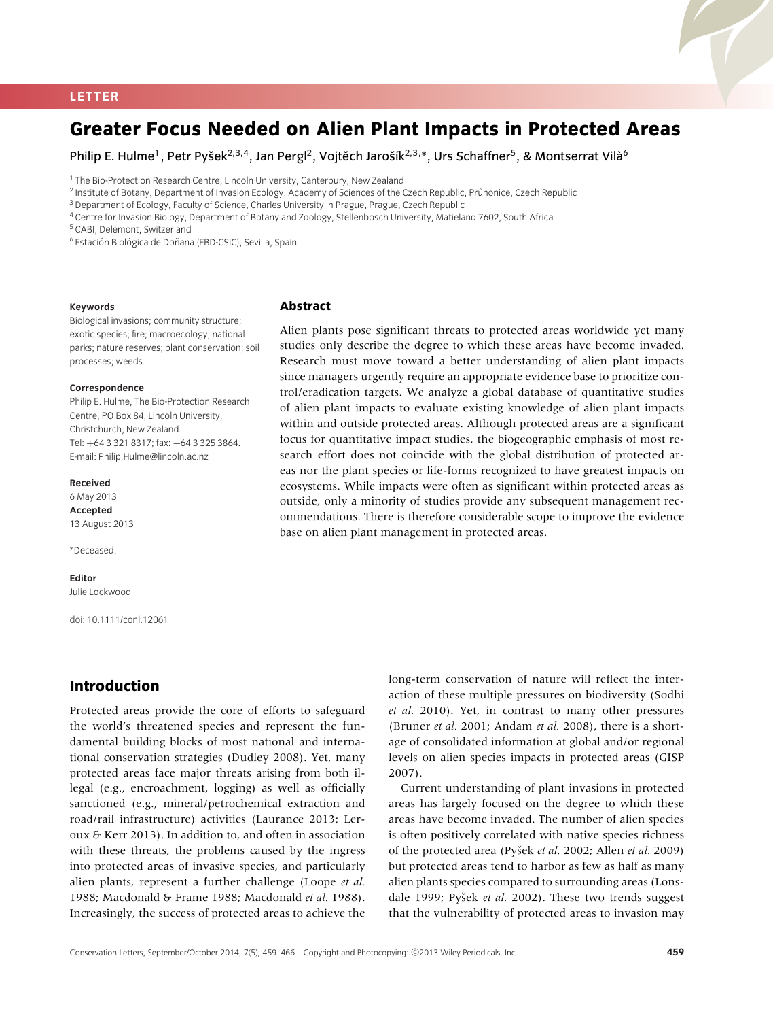#### **LETTER**

# **Greater Focus Needed on Alien Plant Impacts in Protected Areas**

Philip E. Hulme<sup>1</sup>, Petr Pyšek<sup>2,3,4</sup>, Jan Pergl<sup>2</sup>, Vojtěch Jarošík<sup>2,3,</sup>\*, Urs Schaffner<sup>5</sup>, & Montserrat Vilà<sup>6</sup>

<sup>1</sup> The Bio-Protection Research Centre, Lincoln University, Canterbury, New Zealand

<sup>2</sup> Institute of Botany, Department of Invasion Ecology, Academy of Sciences of the Czech Republic, Průhonice, Czech Republic

<sup>3</sup> Department of Ecology, Faculty of Science, Charles University in Prague, Prague, Czech Republic

<sup>4</sup> Centre for Invasion Biology, Department of Botany and Zoology, Stellenbosch University, Matieland 7602, South Africa

<sup>5</sup> CABI, Delémont, Switzerland

<sup>6</sup> Estación Biológica de Doñana (EBD-CSIC), Sevilla, Spain

#### **Keywords**

Biological invasions; community structure; exotic species; fire; macroecology; national parks; nature reserves; plant conservation; soil processes; weeds.

#### **Correspondence**

Philip E. Hulme, The Bio-Protection Research Centre, PO Box 84, Lincoln University, Christchurch, New Zealand. Tel: +64 3 321 8317; fax: +64 3 325 3864. E-mail: Philip.Hulme@lincoln.ac.nz

#### **Received**

6 May 2013 **Accepted** 13 August 2013

∗Deceased.

**Editor**

Julie Lockwood

doi: 10.1111/conl.12061

## **Introduction**

Protected areas provide the core of efforts to safeguard the world's threatened species and represent the fundamental building blocks of most national and international conservation strategies (Dudley 2008). Yet, many protected areas face major threats arising from both illegal (e.g., encroachment, logging) as well as officially sanctioned (e.g., mineral/petrochemical extraction and road/rail infrastructure) activities (Laurance 2013; Leroux & Kerr 2013). In addition to, and often in association with these threats, the problems caused by the ingress into protected areas of invasive species, and particularly alien plants, represent a further challenge (Loope *et al.* 1988; Macdonald & Frame 1988; Macdonald *et al.* 1988). Increasingly, the success of protected areas to achieve the

**Abstract**

Alien plants pose significant threats to protected areas worldwide yet many studies only describe the degree to which these areas have become invaded. Research must move toward a better understanding of alien plant impacts since managers urgently require an appropriate evidence base to prioritize control/eradication targets. We analyze a global database of quantitative studies of alien plant impacts to evaluate existing knowledge of alien plant impacts within and outside protected areas. Although protected areas are a significant focus for quantitative impact studies, the biogeographic emphasis of most research effort does not coincide with the global distribution of protected areas nor the plant species or life-forms recognized to have greatest impacts on ecosystems. While impacts were often as significant within protected areas as outside, only a minority of studies provide any subsequent management recommendations. There is therefore considerable scope to improve the evidence base on alien plant management in protected areas.

> long-term conservation of nature will reflect the interaction of these multiple pressures on biodiversity (Sodhi *et al.* 2010). Yet, in contrast to many other pressures (Bruner *et al.* 2001; Andam *et al.* 2008), there is a shortage of consolidated information at global and/or regional levels on alien species impacts in protected areas (GISP 2007).

> Current understanding of plant invasions in protected areas has largely focused on the degree to which these areas have become invaded. The number of alien species is often positively correlated with native species richness of the protected area (Pyšek et al. 2002; Allen et al. 2009) but protected areas tend to harbor as few as half as many alien plants species compared to surrounding areas (Lonsdale 1999; Pyšek et al. 2002). These two trends suggest that the vulnerability of protected areas to invasion may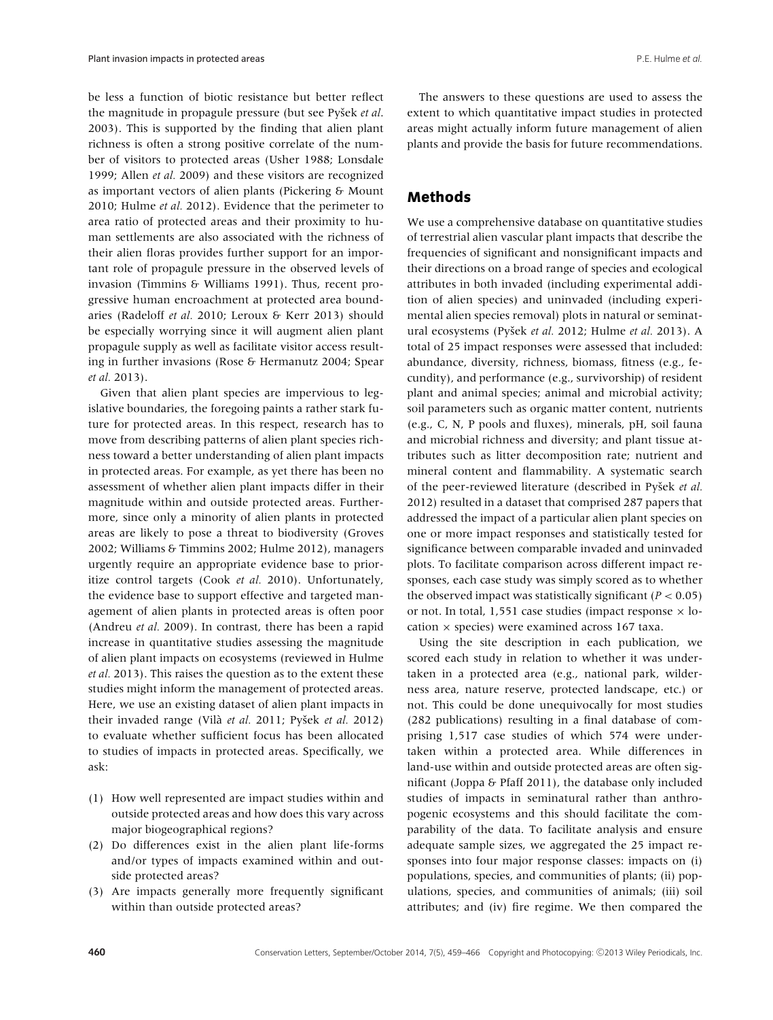be less a function of biotic resistance but better reflect the magnitude in propagule pressure (but see Pysek *et al.*) 2003). This is supported by the finding that alien plant richness is often a strong positive correlate of the number of visitors to protected areas (Usher 1988; Lonsdale 1999; Allen *et al.* 2009) and these visitors are recognized as important vectors of alien plants (Pickering & Mount 2010; Hulme *et al.* 2012). Evidence that the perimeter to area ratio of protected areas and their proximity to human settlements are also associated with the richness of their alien floras provides further support for an important role of propagule pressure in the observed levels of invasion (Timmins & Williams 1991). Thus, recent progressive human encroachment at protected area boundaries (Radeloff *et al.* 2010; Leroux & Kerr 2013) should be especially worrying since it will augment alien plant propagule supply as well as facilitate visitor access resulting in further invasions (Rose & Hermanutz 2004; Spear *et al.* 2013).

Given that alien plant species are impervious to legislative boundaries, the foregoing paints a rather stark future for protected areas. In this respect, research has to move from describing patterns of alien plant species richness toward a better understanding of alien plant impacts in protected areas. For example, as yet there has been no assessment of whether alien plant impacts differ in their magnitude within and outside protected areas. Furthermore, since only a minority of alien plants in protected areas are likely to pose a threat to biodiversity (Groves 2002; Williams & Timmins 2002; Hulme 2012), managers urgently require an appropriate evidence base to prioritize control targets (Cook *et al.* 2010). Unfortunately, the evidence base to support effective and targeted management of alien plants in protected areas is often poor (Andreu *et al.* 2009). In contrast, there has been a rapid increase in quantitative studies assessing the magnitude of alien plant impacts on ecosystems (reviewed in Hulme *et al.* 2013). This raises the question as to the extent these studies might inform the management of protected areas. Here, we use an existing dataset of alien plant impacts in their invaded range (Vilà *et al.* 2011; Pyšek *et al.* 2012) to evaluate whether sufficient focus has been allocated to studies of impacts in protected areas. Specifically, we ask:

- (1) How well represented are impact studies within and outside protected areas and how does this vary across major biogeographical regions?
- (2) Do differences exist in the alien plant life-forms and/or types of impacts examined within and outside protected areas?
- (3) Are impacts generally more frequently significant within than outside protected areas?

The answers to these questions are used to assess the extent to which quantitative impact studies in protected areas might actually inform future management of alien plants and provide the basis for future recommendations.

## **Methods**

We use a comprehensive database on quantitative studies of terrestrial alien vascular plant impacts that describe the frequencies of significant and nonsignificant impacts and their directions on a broad range of species and ecological attributes in both invaded (including experimental addition of alien species) and uninvaded (including experimental alien species removal) plots in natural or seminatural ecosystems (Pyšek et al. 2012; Hulme et al. 2013). A total of 25 impact responses were assessed that included: abundance, diversity, richness, biomass, fitness (e.g., fecundity), and performance (e.g., survivorship) of resident plant and animal species; animal and microbial activity; soil parameters such as organic matter content, nutrients (e.g., C, N, P pools and fluxes), minerals, pH, soil fauna and microbial richness and diversity; and plant tissue attributes such as litter decomposition rate; nutrient and mineral content and flammability. A systematic search of the peer-reviewed literature (described in Pyšek et al. 2012) resulted in a dataset that comprised 287 papers that addressed the impact of a particular alien plant species on one or more impact responses and statistically tested for significance between comparable invaded and uninvaded plots. To facilitate comparison across different impact responses, each case study was simply scored as to whether the observed impact was statistically significant  $(P < 0.05)$ or not. In total, 1,551 case studies (impact response  $\times$  location  $\times$  species) were examined across 167 taxa.

Using the site description in each publication, we scored each study in relation to whether it was undertaken in a protected area (e.g., national park, wilderness area, nature reserve, protected landscape, etc.) or not. This could be done unequivocally for most studies (282 publications) resulting in a final database of comprising 1,517 case studies of which 574 were undertaken within a protected area. While differences in land-use within and outside protected areas are often significant (Joppa & Pfaff 2011), the database only included studies of impacts in seminatural rather than anthropogenic ecosystems and this should facilitate the comparability of the data. To facilitate analysis and ensure adequate sample sizes, we aggregated the 25 impact responses into four major response classes: impacts on (i) populations, species, and communities of plants; (ii) populations, species, and communities of animals; (iii) soil attributes; and (iv) fire regime. We then compared the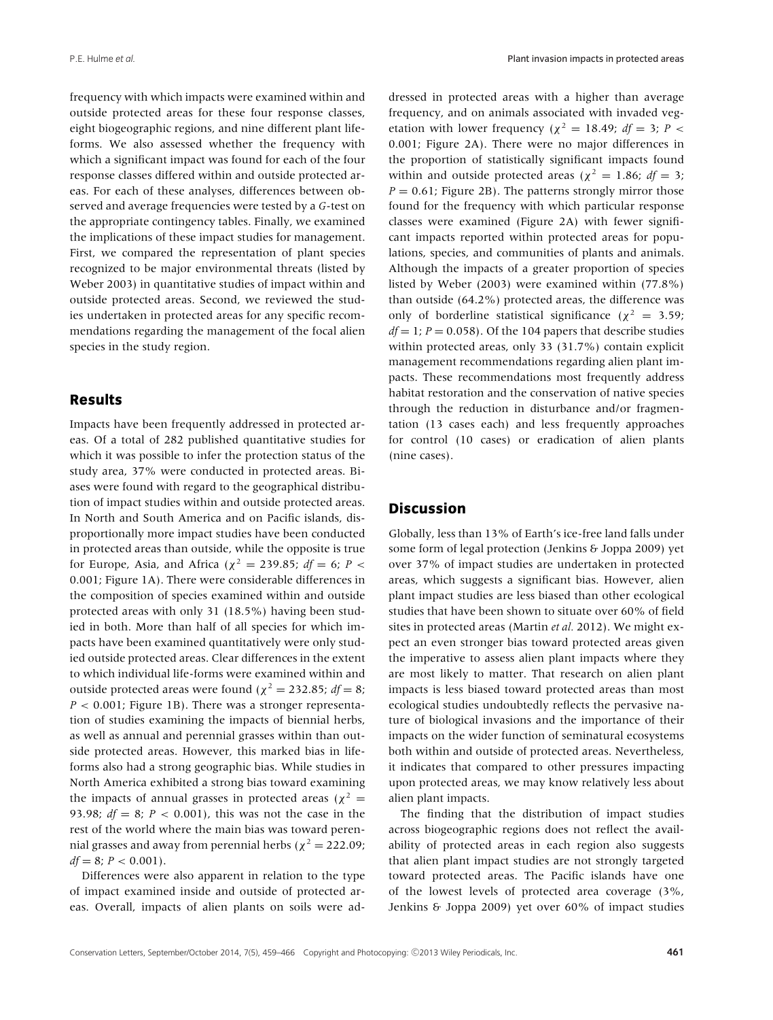frequency with which impacts were examined within and outside protected areas for these four response classes, eight biogeographic regions, and nine different plant lifeforms. We also assessed whether the frequency with which a significant impact was found for each of the four response classes differed within and outside protected areas. For each of these analyses, differences between observed and average frequencies were tested by a *G*-test on the appropriate contingency tables. Finally, we examined the implications of these impact studies for management. First, we compared the representation of plant species recognized to be major environmental threats (listed by Weber 2003) in quantitative studies of impact within and outside protected areas. Second, we reviewed the studies undertaken in protected areas for any specific recommendations regarding the management of the focal alien species in the study region.

### **Results**

Impacts have been frequently addressed in protected areas. Of a total of 282 published quantitative studies for which it was possible to infer the protection status of the study area, 37% were conducted in protected areas. Biases were found with regard to the geographical distribution of impact studies within and outside protected areas. In North and South America and on Pacific islands, disproportionally more impact studies have been conducted in protected areas than outside, while the opposite is true for Europe, Asia, and Africa ( $\chi^2$  = 239.85; *df* = 6; *P* < 0.001; Figure 1A). There were considerable differences in the composition of species examined within and outside protected areas with only 31 (18.5%) having been studied in both. More than half of all species for which impacts have been examined quantitatively were only studied outside protected areas. Clear differences in the extent to which individual life-forms were examined within and outside protected areas were found ( $\chi^2 = 232.85$ ; *df* = 8; *P* < 0.001; Figure 1B). There was a stronger representation of studies examining the impacts of biennial herbs, as well as annual and perennial grasses within than outside protected areas. However, this marked bias in lifeforms also had a strong geographic bias. While studies in North America exhibited a strong bias toward examining the impacts of annual grasses in protected areas ( $\chi^2$  = 93.98; *df* = 8; *P* < 0.001), this was not the case in the rest of the world where the main bias was toward perennial grasses and away from perennial herbs ( $\chi^2 = 222.09$ ;  $df = 8; P < 0.001$ .

Differences were also apparent in relation to the type of impact examined inside and outside of protected areas. Overall, impacts of alien plants on soils were addressed in protected areas with a higher than average frequency, and on animals associated with invaded vegetation with lower frequency ( $\chi^2 = 18.49$ ; *df* = 3; *P* < 0.001; Figure 2A). There were no major differences in the proportion of statistically significant impacts found within and outside protected areas ( $\chi^2 = 1.86$ ; *df* = 3;  $P = 0.61$ ; Figure 2B). The patterns strongly mirror those found for the frequency with which particular response classes were examined (Figure 2A) with fewer significant impacts reported within protected areas for populations, species, and communities of plants and animals. Although the impacts of a greater proportion of species listed by Weber (2003) were examined within (77.8%) than outside (64.2%) protected areas, the difference was only of borderline statistical significance ( $\chi^2 = 3.59$ ;  $df = 1$ ;  $P = 0.058$ ). Of the 104 papers that describe studies within protected areas, only 33 (31.7%) contain explicit management recommendations regarding alien plant impacts. These recommendations most frequently address habitat restoration and the conservation of native species through the reduction in disturbance and/or fragmentation (13 cases each) and less frequently approaches for control (10 cases) or eradication of alien plants (nine cases).

### **Discussion**

Globally, less than 13% of Earth's ice-free land falls under some form of legal protection (Jenkins & Joppa 2009) yet over 37% of impact studies are undertaken in protected areas, which suggests a significant bias. However, alien plant impact studies are less biased than other ecological studies that have been shown to situate over 60% of field sites in protected areas (Martin *et al.* 2012). We might expect an even stronger bias toward protected areas given the imperative to assess alien plant impacts where they are most likely to matter. That research on alien plant impacts is less biased toward protected areas than most ecological studies undoubtedly reflects the pervasive nature of biological invasions and the importance of their impacts on the wider function of seminatural ecosystems both within and outside of protected areas. Nevertheless, it indicates that compared to other pressures impacting upon protected areas, we may know relatively less about alien plant impacts.

The finding that the distribution of impact studies across biogeographic regions does not reflect the availability of protected areas in each region also suggests that alien plant impact studies are not strongly targeted toward protected areas. The Pacific islands have one of the lowest levels of protected area coverage (3%, Jenkins & Joppa 2009) yet over 60% of impact studies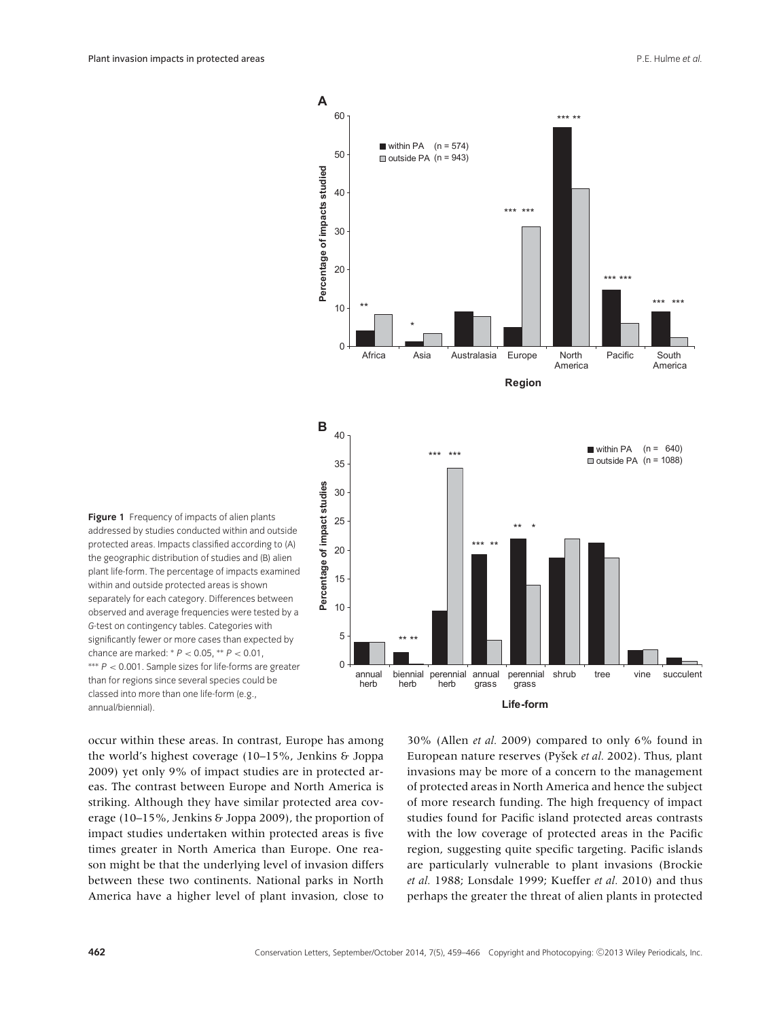

**Figure 1** Frequency of impacts of alien plants addressed by studies conducted within and outside protected areas. Impacts classified according to (A) the geographic distribution of studies and (B) alien plant life-form. The percentage of impacts examined within and outside protected areas is shown separately for each category. Differences between observed and average frequencies were tested by a *G*-test on contingency tables. Categories with significantly fewer or more cases than expected by chance are marked: <sup>∗</sup> *P* < 0.05, ∗∗ *P* < 0.01, ∗∗∗ *P* < 0.001. Sample sizes for life-forms are greater than for regions since several species could be classed into more than one life-form (e.g., annual/biennial).

occur within these areas. In contrast, Europe has among the world's highest coverage (10–15%, Jenkins & Joppa 2009) yet only 9% of impact studies are in protected areas. The contrast between Europe and North America is striking. Although they have similar protected area coverage (10–15%, Jenkins & Joppa 2009), the proportion of impact studies undertaken within protected areas is five times greater in North America than Europe. One reason might be that the underlying level of invasion differs between these two continents. National parks in North America have a higher level of plant invasion, close to 30% (Allen *et al.* 2009) compared to only 6% found in European nature reserves (Pyšek et al. 2002). Thus, plant invasions may be more of a concern to the management of protected areas in North America and hence the subject of more research funding. The high frequency of impact studies found for Pacific island protected areas contrasts with the low coverage of protected areas in the Pacific region, suggesting quite specific targeting. Pacific islands are particularly vulnerable to plant invasions (Brockie *et al.* 1988; Lonsdale 1999; Kueffer *et al.* 2010) and thus perhaps the greater the threat of alien plants in protected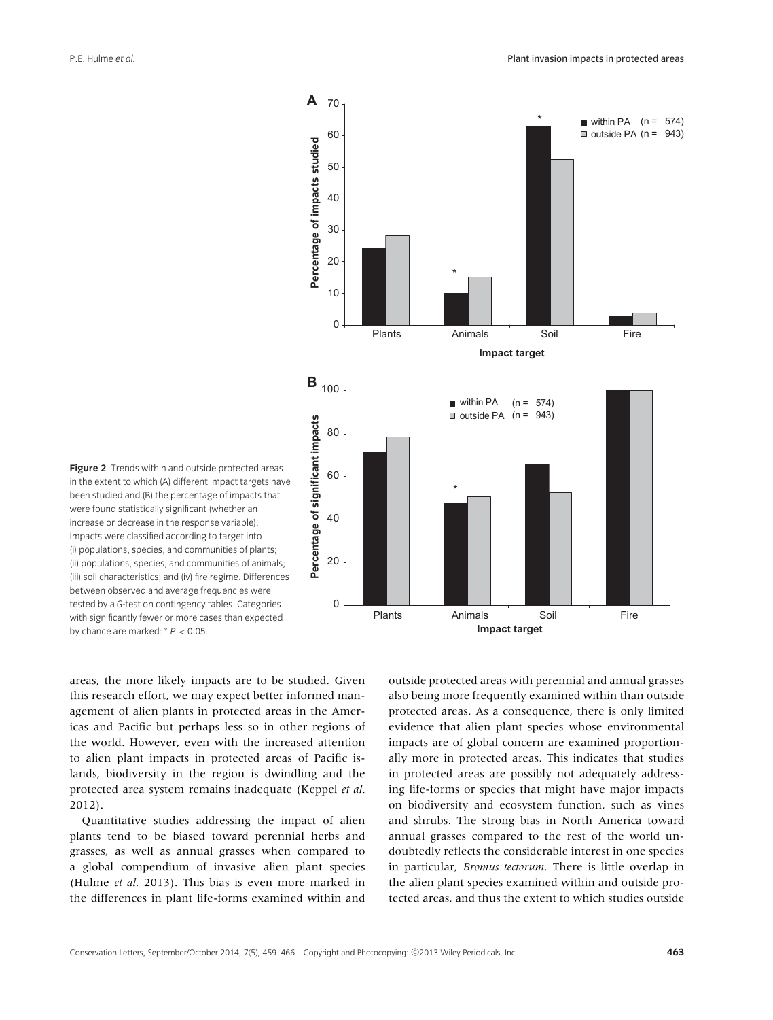

**Figure 2** Trends within and outside protected areas in the extent to which (A) different impact targets have been studied and (B) the percentage of impacts that were found statistically significant (whether an increase or decrease in the response variable). Impacts were classified according to target into (i) populations, species, and communities of plants; (ii) populations, species, and communities of animals; (iii) soil characteristics; and (iv) fire regime. Differences between observed and average frequencies were tested by a *G*-test on contingency tables. Categories with significantly fewer or more cases than expected by chance are marked: <sup>∗</sup> *P* < 0.05.

areas, the more likely impacts are to be studied. Given this research effort, we may expect better informed management of alien plants in protected areas in the Americas and Pacific but perhaps less so in other regions of the world. However, even with the increased attention to alien plant impacts in protected areas of Pacific islands, biodiversity in the region is dwindling and the protected area system remains inadequate (Keppel *et al.* 2012).

Quantitative studies addressing the impact of alien plants tend to be biased toward perennial herbs and grasses, as well as annual grasses when compared to a global compendium of invasive alien plant species (Hulme *et al.* 2013). This bias is even more marked in the differences in plant life-forms examined within and outside protected areas with perennial and annual grasses also being more frequently examined within than outside protected areas. As a consequence, there is only limited evidence that alien plant species whose environmental impacts are of global concern are examined proportionally more in protected areas. This indicates that studies in protected areas are possibly not adequately addressing life-forms or species that might have major impacts on biodiversity and ecosystem function, such as vines and shrubs. The strong bias in North America toward annual grasses compared to the rest of the world undoubtedly reflects the considerable interest in one species in particular, *Bromus tectorum*. There is little overlap in the alien plant species examined within and outside protected areas, and thus the extent to which studies outside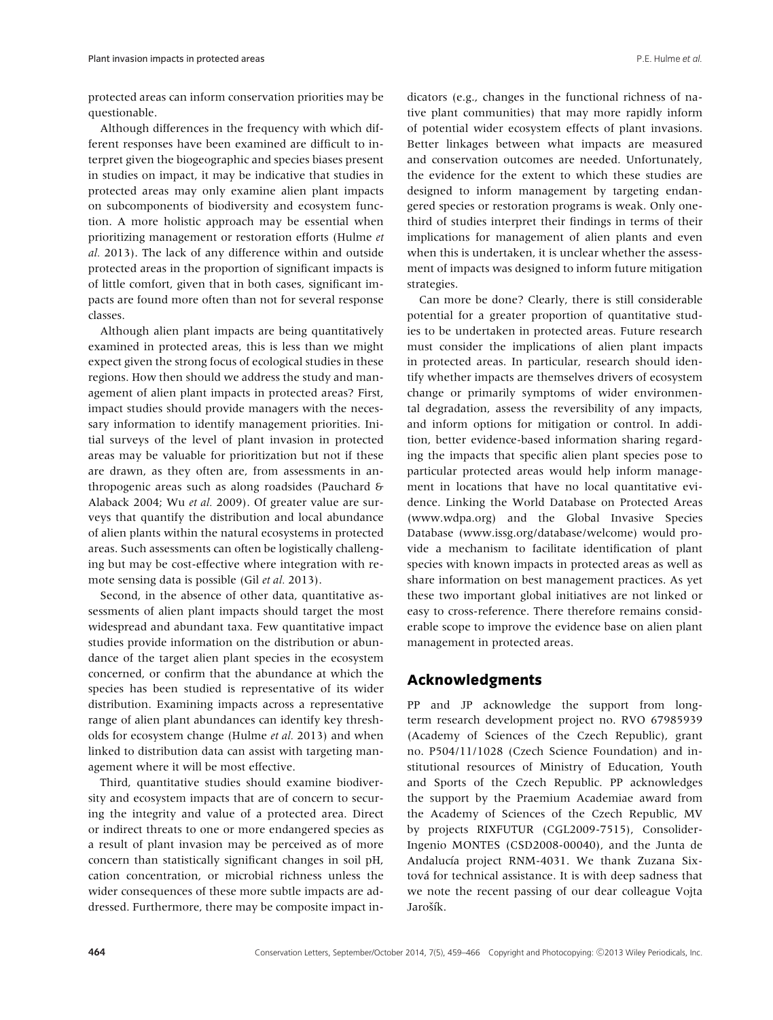protected areas can inform conservation priorities may be questionable.

Although differences in the frequency with which different responses have been examined are difficult to interpret given the biogeographic and species biases present in studies on impact, it may be indicative that studies in protected areas may only examine alien plant impacts on subcomponents of biodiversity and ecosystem function. A more holistic approach may be essential when prioritizing management or restoration efforts (Hulme *et al.* 2013). The lack of any difference within and outside protected areas in the proportion of significant impacts is of little comfort, given that in both cases, significant impacts are found more often than not for several response classes.

Although alien plant impacts are being quantitatively examined in protected areas, this is less than we might expect given the strong focus of ecological studies in these regions. How then should we address the study and management of alien plant impacts in protected areas? First, impact studies should provide managers with the necessary information to identify management priorities. Initial surveys of the level of plant invasion in protected areas may be valuable for prioritization but not if these are drawn, as they often are, from assessments in anthropogenic areas such as along roadsides (Pauchard & Alaback 2004; Wu *et al.* 2009). Of greater value are surveys that quantify the distribution and local abundance of alien plants within the natural ecosystems in protected areas. Such assessments can often be logistically challenging but may be cost-effective where integration with remote sensing data is possible (Gil *et al.* 2013).

Second, in the absence of other data, quantitative assessments of alien plant impacts should target the most widespread and abundant taxa. Few quantitative impact studies provide information on the distribution or abundance of the target alien plant species in the ecosystem concerned, or confirm that the abundance at which the species has been studied is representative of its wider distribution. Examining impacts across a representative range of alien plant abundances can identify key thresholds for ecosystem change (Hulme *et al.* 2013) and when linked to distribution data can assist with targeting management where it will be most effective.

Third, quantitative studies should examine biodiversity and ecosystem impacts that are of concern to securing the integrity and value of a protected area. Direct or indirect threats to one or more endangered species as a result of plant invasion may be perceived as of more concern than statistically significant changes in soil pH, cation concentration, or microbial richness unless the wider consequences of these more subtle impacts are addressed. Furthermore, there may be composite impact indicators (e.g., changes in the functional richness of native plant communities) that may more rapidly inform of potential wider ecosystem effects of plant invasions. Better linkages between what impacts are measured and conservation outcomes are needed. Unfortunately, the evidence for the extent to which these studies are designed to inform management by targeting endangered species or restoration programs is weak. Only onethird of studies interpret their findings in terms of their implications for management of alien plants and even when this is undertaken, it is unclear whether the assessment of impacts was designed to inform future mitigation strategies.

Can more be done? Clearly, there is still considerable potential for a greater proportion of quantitative studies to be undertaken in protected areas. Future research must consider the implications of alien plant impacts in protected areas. In particular, research should identify whether impacts are themselves drivers of ecosystem change or primarily symptoms of wider environmental degradation, assess the reversibility of any impacts, and inform options for mitigation or control. In addition, better evidence-based information sharing regarding the impacts that specific alien plant species pose to particular protected areas would help inform management in locations that have no local quantitative evidence. Linking the World Database on Protected Areas (www.wdpa.org) and the Global Invasive Species Database (www.issg.org/database/welcome) would provide a mechanism to facilitate identification of plant species with known impacts in protected areas as well as share information on best management practices. As yet these two important global initiatives are not linked or easy to cross-reference. There therefore remains considerable scope to improve the evidence base on alien plant management in protected areas.

# **Acknowledgments**

PP and JP acknowledge the support from longterm research development project no. RVO 67985939 (Academy of Sciences of the Czech Republic), grant no. P504/11/1028 (Czech Science Foundation) and institutional resources of Ministry of Education, Youth and Sports of the Czech Republic. PP acknowledges the support by the Praemium Academiae award from the Academy of Sciences of the Czech Republic, MV by projects RIXFUTUR (CGL2009-7515), Consolider-Ingenio MONTES (CSD2008-00040), and the Junta de Andalucía project RNM-4031. We thank Zuzana Sixtová for technical assistance. It is with deep sadness that we note the recent passing of our dear colleague Vojta Jarošík.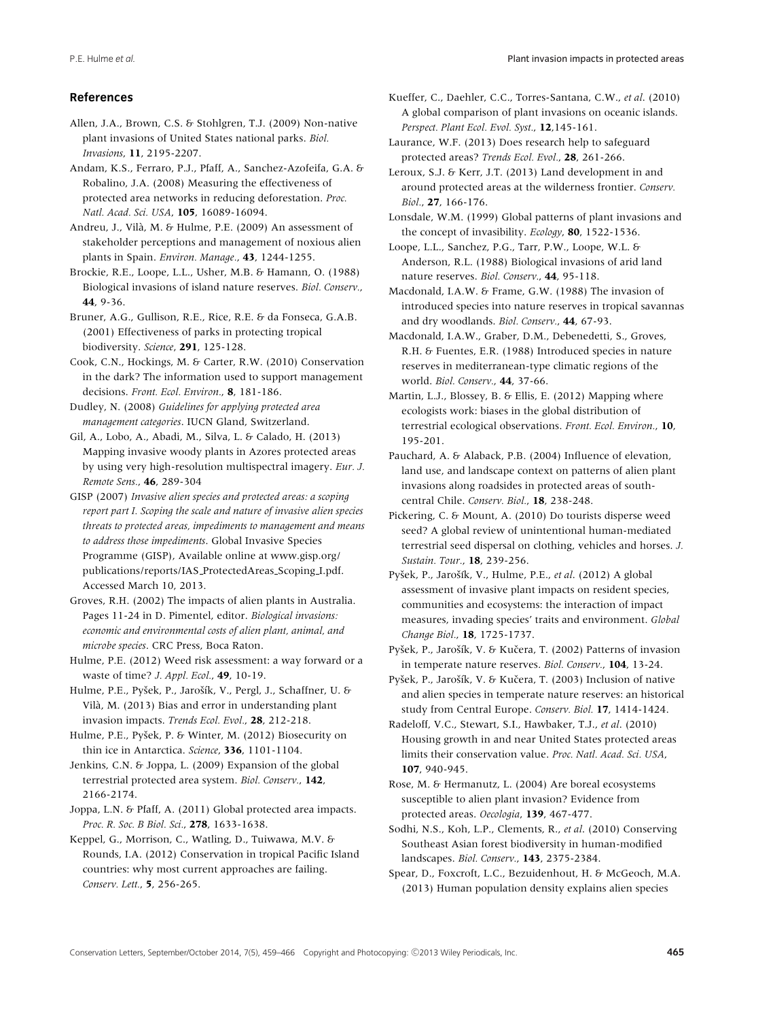#### **References**

Allen, J.A., Brown, C.S. & Stohlgren, T.J. (2009) Non-native plant invasions of United States national parks. *Biol. Invasions*, **11**, 2195-2207.

Andam, K.S., Ferraro, P.J., Pfaff, A., Sanchez-Azofeifa, G.A. & Robalino, J.A. (2008) Measuring the effectiveness of protected area networks in reducing deforestation. *Proc. Natl. Acad. Sci. USA*, **105**, 16089-16094.

Andreu, J., Vila, M. & Hulme, P.E. (2009) An assessment of ` stakeholder perceptions and management of noxious alien plants in Spain. *Environ. Manage.*, **43**, 1244-1255.

Brockie, R.E., Loope, L.L., Usher, M.B. & Hamann, O. (1988) Biological invasions of island nature reserves. *Biol. Conserv.*, **44**, 9-36.

Bruner, A.G., Gullison, R.E., Rice, R.E. & da Fonseca, G.A.B. (2001) Effectiveness of parks in protecting tropical biodiversity. *Science*, **291**, 125-128.

Cook, C.N., Hockings, M. & Carter, R.W. (2010) Conservation in the dark? The information used to support management decisions. *Front. Ecol. Environ.*, **8**, 181-186.

Dudley, N. (2008) *Guidelines for applying protected area management categories*. IUCN Gland, Switzerland.

Gil, A., Lobo, A., Abadi, M., Silva, L. & Calado, H. (2013) Mapping invasive woody plants in Azores protected areas by using very high-resolution multispectral imagery. *Eur. J. Remote Sens.*, **46**, 289-304

GISP (2007) *Invasive alien species and protected areas: a scoping report part I. Scoping the scale and nature of invasive alien species threats to protected areas, impediments to management and means to address those impediments*. Global Invasive Species Programme (GISP), Available online at www.gisp.org/ publications/reports/IAS ProtectedAreas Scoping I.pdf. Accessed March 10, 2013.

Groves, R.H. (2002) The impacts of alien plants in Australia. Pages 11-24 in D. Pimentel, editor. *Biological invasions: economic and environmental costs of alien plant, animal, and microbe species*. CRC Press, Boca Raton.

Hulme, P.E. (2012) Weed risk assessment: a way forward or a waste of time? *J. Appl. Ecol.*, **49**, 10-19.

Hulme, P.E., Pyšek, P., Jarošík, V., Pergl, J., Schaffner, U. & Vila, M. (2013) Bias and error in understanding plant ` invasion impacts. *Trends Ecol. Evol.*, **28**, 212-218.

Hulme, P.E., Pyšek, P. & Winter, M. (2012) Biosecurity on thin ice in Antarctica. *Science*, **336**, 1101-1104.

Jenkins, C.N. & Joppa, L. (2009) Expansion of the global terrestrial protected area system. *Biol. Conserv.*, **142**, 2166-2174.

Joppa, L.N. & Pfaff, A. (2011) Global protected area impacts. *Proc. R. Soc. B Biol. Sci.*, **278**, 1633-1638.

Keppel, G., Morrison, C., Watling, D., Tuiwawa, M.V. & Rounds, I.A. (2012) Conservation in tropical Pacific Island countries: why most current approaches are failing. *Conserv. Lett.*, **5**, 256-265.

Kueffer, C., Daehler, C.C., Torres-Santana, C.W., *et al*. (2010) A global comparison of plant invasions on oceanic islands. *Perspect. Plant Ecol. Evol. Syst.*, **12**,145-161.

Laurance, W.F. (2013) Does research help to safeguard protected areas? *Trends Ecol. Evol.*, **28**, 261-266.

Leroux, S.J. & Kerr, J.T. (2013) Land development in and around protected areas at the wilderness frontier. *Conserv. Biol.*, **27**, 166-176.

Lonsdale, W.M. (1999) Global patterns of plant invasions and the concept of invasibility. *Ecology*, **80**, 1522-1536.

Loope, L.L., Sanchez, P.G., Tarr, P.W., Loope, W.L. & Anderson, R.L. (1988) Biological invasions of arid land nature reserves. *Biol. Conserv.*, **44**, 95-118.

Macdonald, I.A.W. & Frame, G.W. (1988) The invasion of introduced species into nature reserves in tropical savannas and dry woodlands. *Biol. Conserv.*, **44**, 67-93.

Macdonald, I.A.W., Graber, D.M., Debenedetti, S., Groves, R.H. & Fuentes, E.R. (1988) Introduced species in nature reserves in mediterranean-type climatic regions of the world. *Biol. Conserv.*, **44**, 37-66.

Martin, L.J., Blossey, B. & Ellis, E. (2012) Mapping where ecologists work: biases in the global distribution of terrestrial ecological observations. *Front. Ecol. Environ.*, **10**, 195-201.

Pauchard, A. & Alaback, P.B. (2004) Influence of elevation, land use, and landscape context on patterns of alien plant invasions along roadsides in protected areas of southcentral Chile. *Conserv. Biol.*, **18**, 238-248.

Pickering, C. & Mount, A. (2010) Do tourists disperse weed seed? A global review of unintentional human-mediated terrestrial seed dispersal on clothing, vehicles and horses. *J. Sustain. Tour.*, **18**, 239-256.

Pyšek, P., Jarošík, V., Hulme, P.E., et al. (2012) A global assessment of invasive plant impacts on resident species, communities and ecosystems: the interaction of impact measures, invading species' traits and environment. *Global Change Biol.*, **18**, 1725-1737.

Pyšek, P., Jarošík, V. & Kučera, T. (2002) Patterns of invasion in temperate nature reserves. *Biol. Conserv.*, **104**, 13-24.

Pyšek, P., Jarošík, V. & Kučera, T. (2003) Inclusion of native and alien species in temperate nature reserves: an historical study from Central Europe. *Conserv. Biol.* **17**, 1414-1424.

Radeloff, V.C., Stewart, S.I., Hawbaker, T.J., *et al*. (2010) Housing growth in and near United States protected areas limits their conservation value. *Proc. Natl. Acad. Sci. USA*, **107**, 940-945.

Rose, M. & Hermanutz, L. (2004) Are boreal ecosystems susceptible to alien plant invasion? Evidence from protected areas. *Oecologia*, **139**, 467-477.

Sodhi, N.S., Koh, L.P., Clements, R., *et al*. (2010) Conserving Southeast Asian forest biodiversity in human-modified landscapes. *Biol. Conserv.*, **143**, 2375-2384.

Spear, D., Foxcroft, L.C., Bezuidenhout, H. & McGeoch, M.A. (2013) Human population density explains alien species